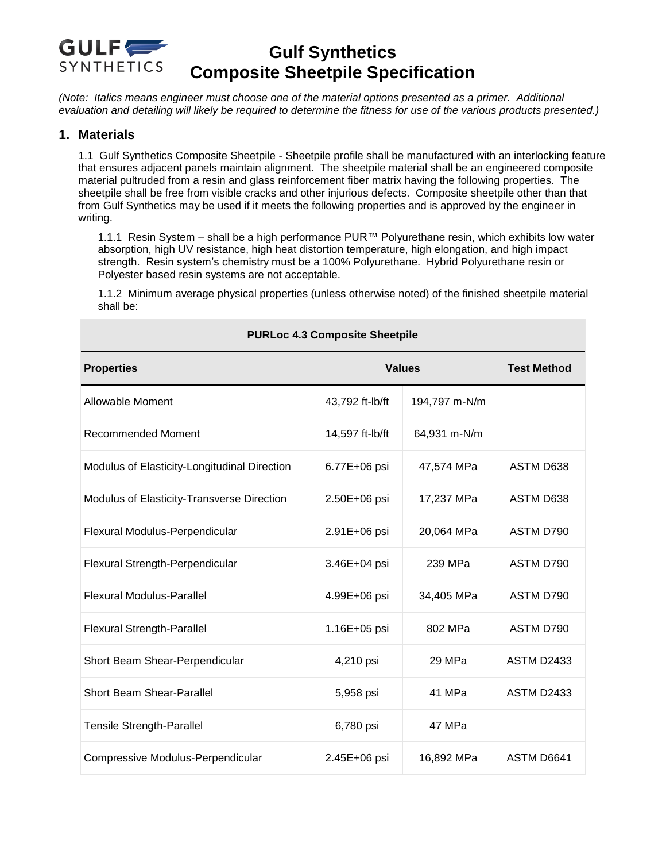

*(Note: Italics means engineer must choose one of the material options presented as a primer. Additional evaluation and detailing will likely be required to determine the fitness for use of the various products presented.)*

### **1. Materials**

1.1 Gulf Synthetics Composite Sheetpile - Sheetpile profile shall be manufactured with an interlocking feature that ensures adjacent panels maintain alignment. The sheetpile material shall be an engineered composite material pultruded from a resin and glass reinforcement fiber matrix having the following properties. The sheetpile shall be free from visible cracks and other injurious defects. Composite sheetpile other than that from Gulf Synthetics may be used if it meets the following properties and is approved by the engineer in writing.

1.1.1 Resin System – shall be a high performance PUR™ Polyurethane resin, which exhibits low water absorption, high UV resistance, high heat distortion temperature, high elongation, and high impact strength. Resin system's chemistry must be a 100% Polyurethane. Hybrid Polyurethane resin or Polyester based resin systems are not acceptable.

1.1.2 Minimum average physical properties (unless otherwise noted) of the finished sheetpile material shall be:

| <b>Properties</b>                            | <b>Values</b>   |               | <b>Test Method</b> |
|----------------------------------------------|-----------------|---------------|--------------------|
| Allowable Moment                             | 43,792 ft-lb/ft | 194,797 m-N/m |                    |
| <b>Recommended Moment</b>                    | 14,597 ft-lb/ft | 64,931 m-N/m  |                    |
| Modulus of Elasticity-Longitudinal Direction | 6.77E+06 psi    | 47,574 MPa    | ASTM D638          |
| Modulus of Elasticity-Transverse Direction   | 2.50E+06 psi    | 17,237 MPa    | ASTM D638          |
| Flexural Modulus-Perpendicular               | 2.91E+06 psi    | 20,064 MPa    | ASTM D790          |
| Flexural Strength-Perpendicular              | 3.46E+04 psi    | 239 MPa       | ASTM D790          |
| <b>Flexural Modulus-Parallel</b>             | 4.99E+06 psi    | 34,405 MPa    | ASTM D790          |
| <b>Flexural Strength-Parallel</b>            | 1.16E+05 psi    | 802 MPa       | ASTM D790          |
| Short Beam Shear-Perpendicular               | 4,210 psi       | 29 MPa        | <b>ASTM D2433</b>  |
| <b>Short Beam Shear-Parallel</b>             | 5,958 psi       | 41 MPa        | <b>ASTM D2433</b>  |
| <b>Tensile Strength-Parallel</b>             | 6,780 psi       | 47 MPa        |                    |
| Compressive Modulus-Perpendicular            | 2.45E+06 psi    | 16,892 MPa    | ASTM D6641         |

#### **PURLoc 4.3 Composite Sheetpile**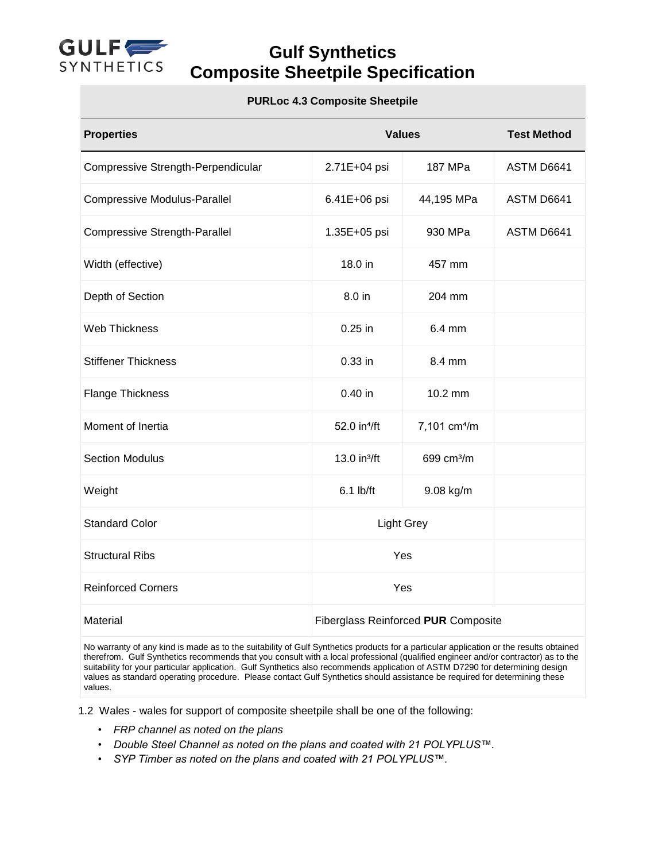

#### **PURLoc 4.3 Composite Sheetpile**

| <b>Properties</b>                    | <b>Values</b>                       |                          | <b>Test Method</b> |
|--------------------------------------|-------------------------------------|--------------------------|--------------------|
| Compressive Strength-Perpendicular   | 2.71E+04 psi                        | 187 MPa                  | ASTM D6641         |
| <b>Compressive Modulus-Parallel</b>  | 6.41E+06 psi                        | 44,195 MPa               | ASTM D6641         |
| <b>Compressive Strength-Parallel</b> | 1.35E+05 psi                        | 930 MPa                  | ASTM D6641         |
| Width (effective)                    | 18.0 in                             | 457 mm                   |                    |
| Depth of Section                     | 8.0 in                              | 204 mm                   |                    |
| <b>Web Thickness</b>                 | $0.25$ in                           | 6.4 mm                   |                    |
| <b>Stiffener Thickness</b>           | 0.33 in                             | 8.4 mm                   |                    |
| <b>Flange Thickness</b>              | 0.40 in                             | 10.2 mm                  |                    |
| Moment of Inertia                    | 52.0 in <sup>4</sup> /ft            | 7,101 cm <sup>4</sup> /m |                    |
| <b>Section Modulus</b>               | 13.0 in <sup>3</sup> /ft            | 699 cm <sup>3</sup> /m   |                    |
| Weight                               | $6.1$ lb/ft                         | 9.08 kg/m                |                    |
| <b>Standard Color</b>                | <b>Light Grey</b>                   |                          |                    |
| <b>Structural Ribs</b>               | Yes                                 |                          |                    |
| <b>Reinforced Corners</b>            | Yes                                 |                          |                    |
| Material                             | Fiberglass Reinforced PUR Composite |                          |                    |

No warranty of any kind is made as to the suitability of Gulf Synthetics products for a particular application or the results obtained therefrom. Gulf Synthetics recommends that you consult with a local professional (qualified engineer and/or contractor) as to the suitability for your particular application. Gulf Synthetics also recommends application of ASTM D7290 for determining design values as standard operating procedure. Please contact Gulf Synthetics should assistance be required for determining these values.

1.2 Wales - wales for support of composite sheetpile shall be one of the following:

- *FRP channel as noted on the plans*
- *Double Steel Channel as noted on the plans and coated with 21 POLYPLUS™.*
- *SYP Timber as noted on the plans and coated with 21 POLYPLUS™.*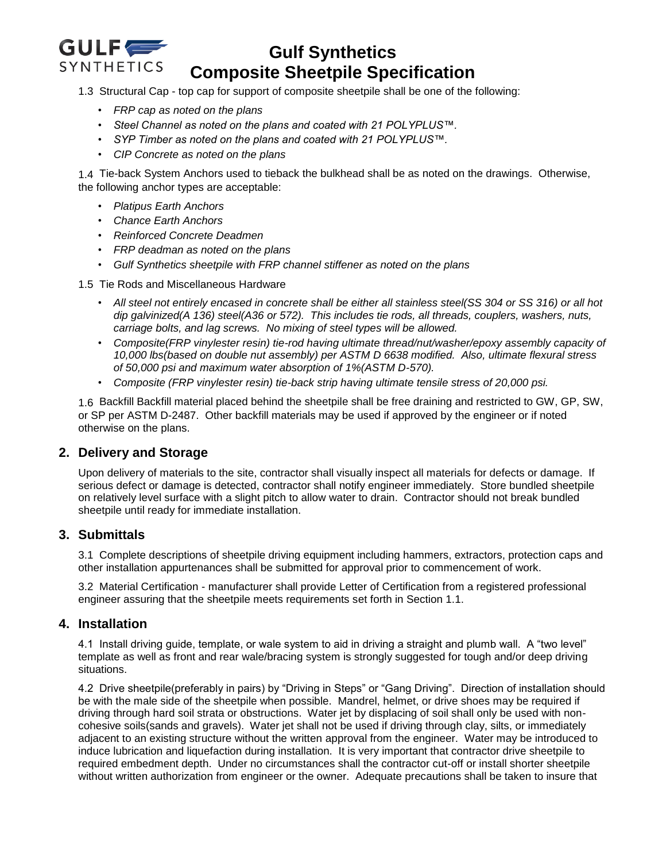

1.3 Structural Cap - top cap for support of composite sheetpile shall be one of the following:

- *FRP cap as noted on the plans*
- *Steel Channel as noted on the plans and coated with 21 POLYPLUS™.*
- *SYP Timber as noted on the plans and coated with 21 POLYPLUS™.*
- *CIP Concrete as noted on the plans*

1.4 Tie-back System Anchors used to tieback the bulkhead shall be as noted on the drawings. Otherwise, the following anchor types are acceptable:

- *Platipus Earth Anchors*
- *Chance Earth Anchors*
- *Reinforced Concrete Deadmen*
- *FRP deadman as noted on the plans*
- *Gulf Synthetics sheetpile with FRP channel stiffener as noted on the plans*

1.5 Tie Rods and Miscellaneous Hardware

- *All steel not entirely encased in concrete shall be either all stainless steel(SS 304 or SS 316) or all hot dip galvinized(A 136) steel(A36 or 572). This includes tie rods, all threads, couplers, washers, nuts, carriage bolts, and lag screws. No mixing of steel types will be allowed.*
- *Composite(FRP vinylester resin) tie-rod having ultimate thread/nut/washer/epoxy assembly capacity of 10,000 lbs(based on double nut assembly) per ASTM D 6638 modified. Also, ultimate flexural stress of 50,000 psi and maximum water absorption of 1%(ASTM D-570).*
- *Composite (FRP vinylester resin) tie-back strip having ultimate tensile stress of 20,000 psi.*

1.6 Backfill Backfill material placed behind the sheetpile shall be free draining and restricted to GW, GP, SW, or SP per ASTM D-2487. Other backfill materials may be used if approved by the engineer or if noted otherwise on the plans.

### **2. Delivery and Storage**

Upon delivery of materials to the site, contractor shall visually inspect all materials for defects or damage. If serious defect or damage is detected, contractor shall notify engineer immediately. Store bundled sheetpile on relatively level surface with a slight pitch to allow water to drain. Contractor should not break bundled sheetpile until ready for immediate installation.

### **3. Submittals**

3.1 Complete descriptions of sheetpile driving equipment including hammers, extractors, protection caps and other installation appurtenances shall be submitted for approval prior to commencement of work.

3.2 Material Certification - manufacturer shall provide Letter of Certification from a registered professional engineer assuring that the sheetpile meets requirements set forth in Section 1.1.

#### **4. Installation**

4.1 Install driving guide, template, or wale system to aid in driving a straight and plumb wall. A "two level" template as well as front and rear wale/bracing system is strongly suggested for tough and/or deep driving situations.

4.2 Drive sheetpile(preferably in pairs) by "Driving in Steps" or "Gang Driving". Direction of installation should be with the male side of the sheetpile when possible. Mandrel, helmet, or drive shoes may be required if driving through hard soil strata or obstructions. Water jet by displacing of soil shall only be used with noncohesive soils(sands and gravels). Water jet shall not be used if driving through clay, silts, or immediately adjacent to an existing structure without the written approval from the engineer. Water may be introduced to induce lubrication and liquefaction during installation. It is very important that contractor drive sheetpile to required embedment depth. Under no circumstances shall the contractor cut-off or install shorter sheetpile without written authorization from engineer or the owner. Adequate precautions shall be taken to insure that